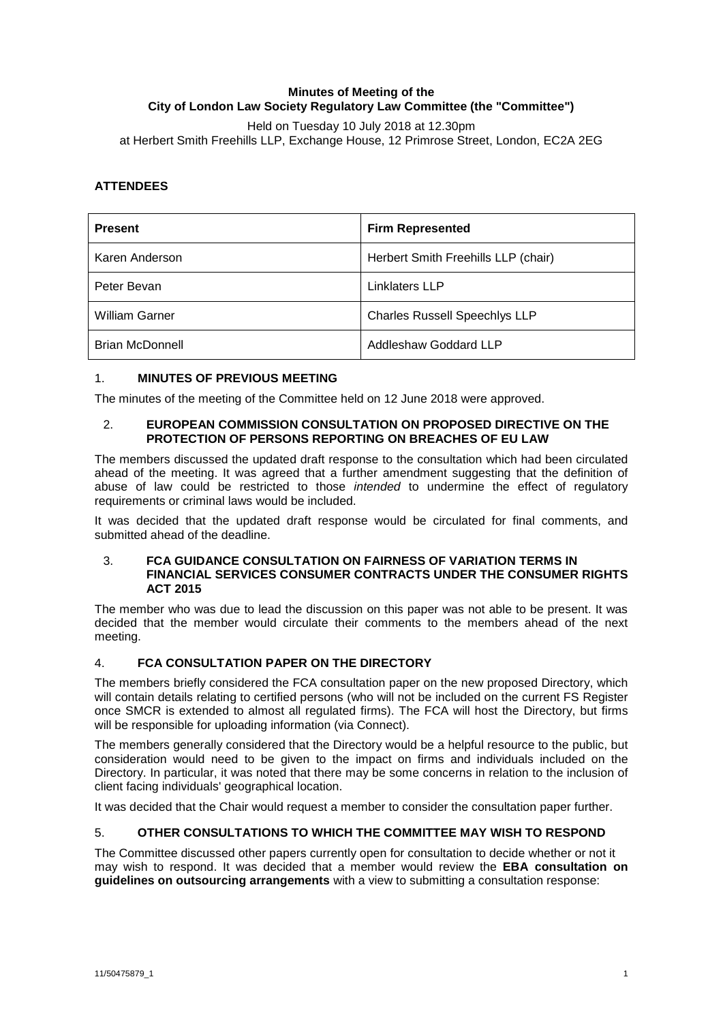## **Minutes of Meeting of the City of London Law Society Regulatory Law Committee (the "Committee")**

Held on Tuesday 10 July 2018 at 12.30pm at Herbert Smith Freehills LLP, Exchange House, 12 Primrose Street, London, EC2A 2EG

# **ATTENDEES**

| <b>Present</b>         | <b>Firm Represented</b>              |
|------------------------|--------------------------------------|
| Karen Anderson         | Herbert Smith Freehills LLP (chair)  |
| Peter Bevan            | Linklaters LLP                       |
| <b>William Garner</b>  | <b>Charles Russell Speechlys LLP</b> |
| <b>Brian McDonnell</b> | Addleshaw Goddard LLP                |

# 1. **MINUTES OF PREVIOUS MEETING**

The minutes of the meeting of the Committee held on 12 June 2018 were approved.

#### 2. **EUROPEAN COMMISSION CONSULTATION ON PROPOSED DIRECTIVE ON THE PROTECTION OF PERSONS REPORTING ON BREACHES OF EU LAW**

The members discussed the updated draft response to the consultation which had been circulated ahead of the meeting. It was agreed that a further amendment suggesting that the definition of abuse of law could be restricted to those *intended* to undermine the effect of regulatory requirements or criminal laws would be included.

It was decided that the updated draft response would be circulated for final comments, and submitted ahead of the deadline.

#### 3. **FCA GUIDANCE CONSULTATION ON FAIRNESS OF VARIATION TERMS IN FINANCIAL SERVICES CONSUMER CONTRACTS UNDER THE CONSUMER RIGHTS ACT 2015**

The member who was due to lead the discussion on this paper was not able to be present. It was decided that the member would circulate their comments to the members ahead of the next meeting.

## 4. **FCA CONSULTATION PAPER ON THE DIRECTORY**

The members briefly considered the FCA consultation paper on the new proposed Directory, which will contain details relating to certified persons (who will not be included on the current FS Register once SMCR is extended to almost all regulated firms). The FCA will host the Directory, but firms will be responsible for uploading information (via Connect).

The members generally considered that the Directory would be a helpful resource to the public, but consideration would need to be given to the impact on firms and individuals included on the Directory. In particular, it was noted that there may be some concerns in relation to the inclusion of client facing individuals' geographical location.

It was decided that the Chair would request a member to consider the consultation paper further.

## 5. **OTHER CONSULTATIONS TO WHICH THE COMMITTEE MAY WISH TO RESPOND**

The Committee discussed other papers currently open for consultation to decide whether or not it may wish to respond. It was decided that a member would review the **EBA consultation on guidelines on outsourcing arrangements** with a view to submitting a consultation response: